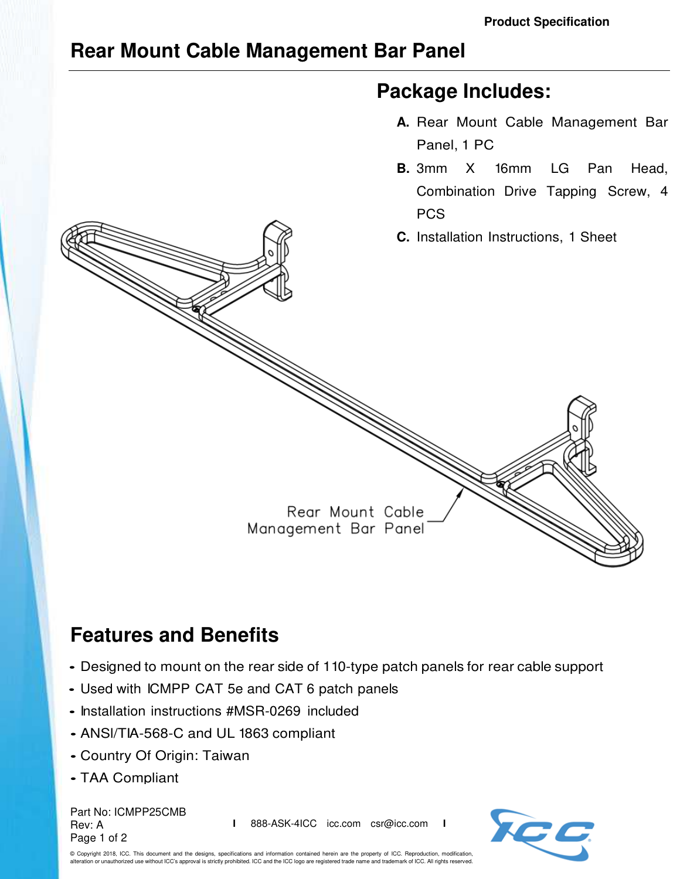## **Rear Mount Cable Management Bar Panel**

## **Package Includes:**

- **A.** Rear Mount Cable Management Bar Panel, 1 PC
- **B.** 3mm X 16mm LG Pan Head, Combination Drive Tapping Screw, 4 **PCS**
- **C.** Installation Instructions, 1 Sheet

Rear Mount Cable Management Bar Panel

## **Features and Benefits**

- Designed to mount on the rear side of 110-type patch panels for rear cable support
- Used with ICMPP CAT 5e and CAT 6 patch panels
- Installation instructions #MSR-0269 included
- ANSl/TIA-568-C and UL 1863 compliant
- Country Of Origin: Taiwan
- TAA Compliant

Part No: ICMPP25CMB Rev: A Page 1 of 2

**I** 888-ASK-4ICC icc.com csr@icc.com **I**



© Copyright 2018, ICC. This document and the designs, specifications and information contained herein are the property of ICC. Reproduction, modification, .<br>An or unauthorized use without ICC's approval is strictly prohibited. ICC and the ICC logo are registered trade name and trademark of ICC. All rights reserved.